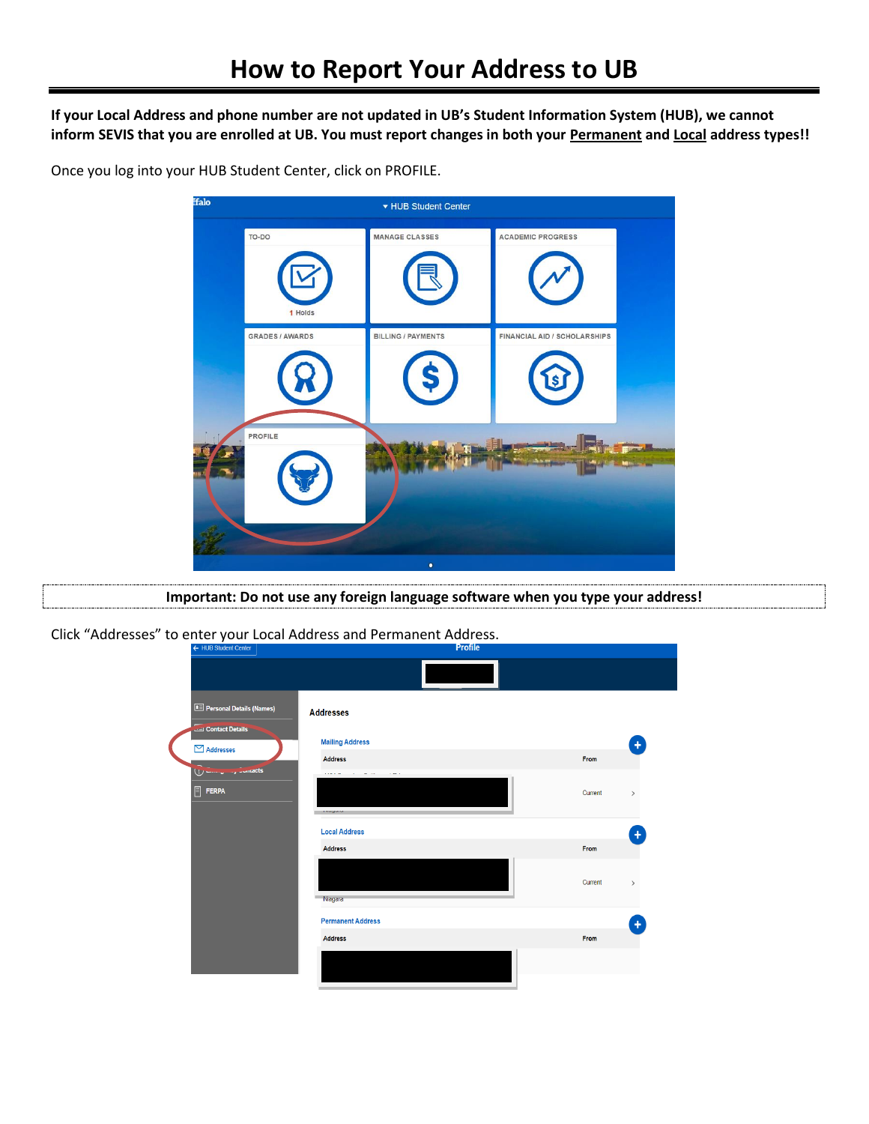**If your Local Address and phone number are not updated in UB's Student Information System (HUB), we cannot inform SEVIS that you are enrolled at UB. You must report changes in both your Permanent and Local address types!!**

Once you log into your HUB Student Center, click on PROFILE.



**Important: Do not use any foreign language software when you type your address!**

Click "Addresses" to enter your Local Address and Permanent Address.

| ← HUB Student Center                       | <b>Profile</b>           |         |               |  |  |  |
|--------------------------------------------|--------------------------|---------|---------------|--|--|--|
|                                            |                          |         |               |  |  |  |
| <b>B</b> Personal Details (Names)          | <b>Addresses</b>         |         |               |  |  |  |
| Contact Details<br>$\boxdot$ Addresses     | <b>Mailing Address</b>   |         |               |  |  |  |
|                                            | <b>Address</b>           | From    |               |  |  |  |
| U - ---- J ---- J - Unitacts<br>目<br>FERPA |                          | Current | $\,$          |  |  |  |
|                                            | <b>Local Address</b>     |         |               |  |  |  |
|                                            | <b>Address</b>           | From    |               |  |  |  |
|                                            | <b>Niagara</b>           | Current | $\rightarrow$ |  |  |  |
|                                            | <b>Permanent Address</b> |         |               |  |  |  |
|                                            | <b>Address</b>           | From    |               |  |  |  |
|                                            |                          |         |               |  |  |  |
|                                            |                          |         |               |  |  |  |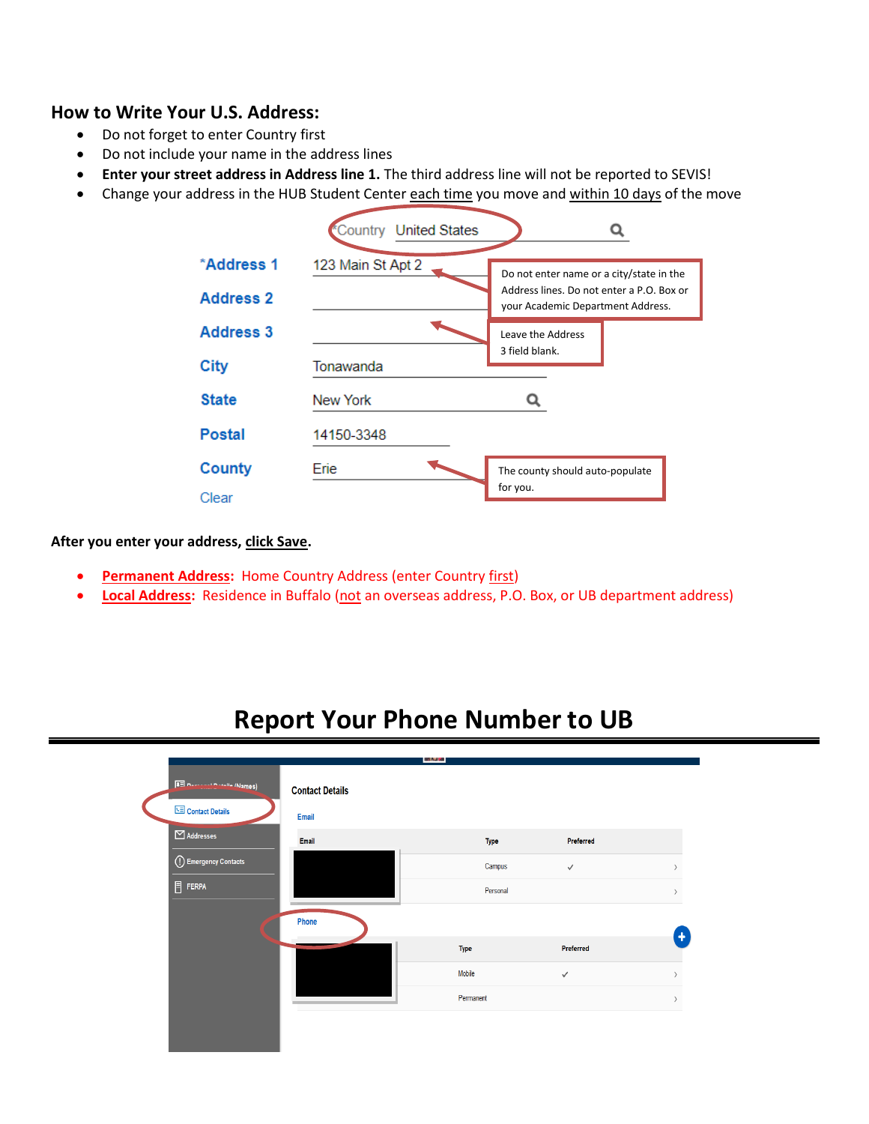## **How to Write Your U.S. Address:**

- Do not forget to enter Country first
- Do not include your name in the address lines
- **Enter your street address in Address line 1.** The third address line will not be reported to SEVIS!
- Change your address in the HUB Student Center each time you move and within 10 days of the move



**After you enter your address, click Save.** 

- **Permanent Address: Home Country Address (enter Country first)**
- **Local Address:** Residence in Buffalo (not an overseas address, P.O. Box, or UB department address)

## **Report Your Phone Number to UB**

|                  |                            |                        | 网络大学      |             |              |  |
|------------------|----------------------------|------------------------|-----------|-------------|--------------|--|
|                  | 8 Designal Details (Names) | <b>Contact Details</b> |           |             |              |  |
|                  | Contact Details            | <b>Email</b>           |           |             |              |  |
| $\Box$ Addresses |                            | Email                  |           | <b>Type</b> | Preferred    |  |
|                  | (1) Emergency Contacts     |                        |           | Campus      | $\checkmark$ |  |
| $\Box$ FERPA     |                            |                        |           | Personal    |              |  |
|                  |                            | Phone                  |           |             |              |  |
|                  |                            |                        | Type      |             | Preferred    |  |
|                  |                            |                        | Mobile    |             |              |  |
|                  |                            |                        |           |             | $\checkmark$ |  |
|                  |                            |                        | Permanent |             |              |  |